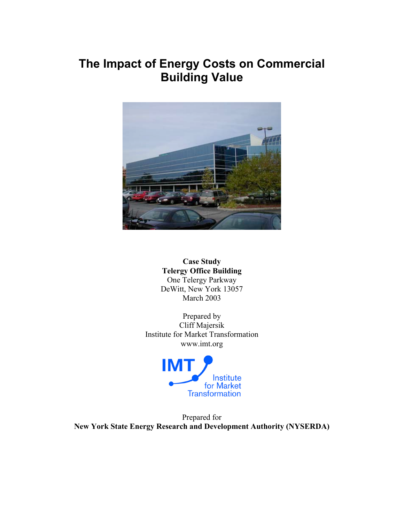# **The Impact of Energy Costs on Commercial Building Value**



**Case Study Telergy Office Building** One Telergy Parkway DeWitt, New York 13057 March 2003

Prepared by Cliff Majersik Institute for Market Transformation www.imt.org



Prepared for **New York State Energy Research and Development Authority (NYSERDA)**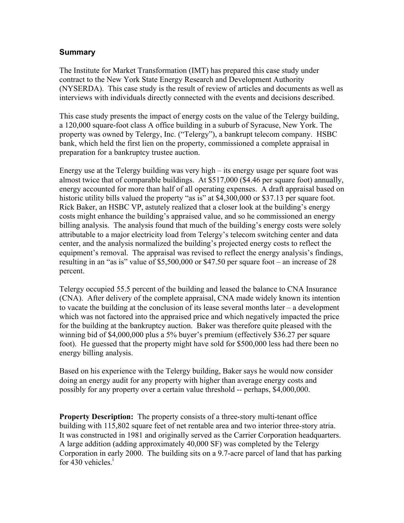### **Summary**

The Institute for Market Transformation (IMT) has prepared this case study under contract to the New York State Energy Research and Development Authority (NYSERDA). This case study is the result of review of articles and documents as well as interviews with individuals directly connected with the events and decisions described.

This case study presents the impact of energy costs on the value of the Telergy building, a 120,000 square-foot class A office building in a suburb of Syracuse, New York. The property was owned by Telergy, Inc. ("Telergy"), a bankrupt telecom company. HSBC bank, which held the first lien on the property, commissioned a complete appraisal in preparation for a bankruptcy trustee auction.

Energy use at the Telergy building was very high – its energy usage per square foot was almost twice that of comparable buildings. At \$517,000 (\$4.46 per square foot) annually, energy accounted for more than half of all operating expenses. A draft appraisal based on historic utility bills valued the property "as is" at \$4,300,000 or \$37.13 per square foot. Rick Baker, an HSBC VP, astutely realized that a closer look at the building's energy costs might enhance the building's appraised value, and so he commissioned an energy billing analysis. The analysis found that much of the building's energy costs were solely attributable to a major electricity load from Telergy's telecom switching center and data center, and the analysis normalized the building's projected energy costs to reflect the equipment's removal. The appraisal was revised to reflect the energy analysis's findings, resulting in an "as is" value of \$5,500,000 or \$47.50 per square foot – an increase of 28 percent.

Telergy occupied 55.5 percent of the building and leased the balance to CNA Insurance (CNA). After delivery of the complete appraisal, CNA made widely known its intention to vacate the building at the conclusion of its lease several months later – a development which was not factored into the appraised price and which negatively impacted the price for the building at the bankruptcy auction. Baker was therefore quite pleased with the winning bid of \$4,000,000 plus a 5% buyer's premium (effectively \$36.27 per square foot). He guessed that the property might have sold for \$500,000 less had there been no energy billing analysis.

Based on his experience with the Telergy building, Baker says he would now consider doing an energy audit for any property with higher than average energy costs and possibly for any property over a certain value threshold -- perhaps, \$4,000,000.

**Property Description:** The property consists of a three-story multi-tenant office building with 115,802 square feet of net rentable area and two interior three-story atria. It was constructed in 1981 and originally served as the Carrier Corporation headquarters. A large addition (adding approximately 40,000 SF) was completed by the Telergy Corporation in early 2000. The building sits on a 9.7-acre parcel of land that has parking for 430 vehicles. $<sup>1</sup>$ </sup>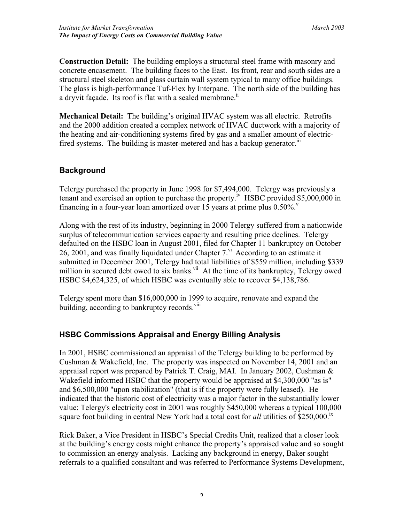**Construction Detail:** The building employs a structural steel frame with masonry and concrete encasement. The building faces to the East. Its front, rear and south sides are a structural steel skeleton and glass curtain wall system typical to many office buildings. The glass is high-performance Tuf-Flex by Interpane. The north side of the building has a dryvit façade. Its roof is flat with a sealed membrane.<sup>11</sup>

**Mechanical Detail:** The building's original HVAC system was all electric. Retrofits and the 2000 addition created a complex network of HVAC ductwork with a majority of the heating and air-conditioning systems fired by gas and a smaller amount of electricfired systems. The building is master-metered and has a backup generator.<sup>iii</sup>

## **Background**

Telergy purchased the property in June 1998 for \$7,494,000. Telergy was previously a tenant and exercised an option to purchase the property.<sup>iv</sup> HSBC provided \$5,000,000 in financing in a four-year loan amortized over 15 years at prime plus  $0.50\%$ .

Along with the rest of its industry, beginning in 2000 Telergy suffered from a nationwide surplus of telecommunication services capacity and resulting price declines. Telergy defaulted on the HSBC loan in August 2001, filed for Chapter 11 bankruptcy on October 26, 2001, and was finally liquidated under Chapter  $7<sup>vi</sup>$  According to an estimate it submitted in December 2001, Telergy had total liabilities of \$559 million, including \$339 million in secured debt owed to six banks.<sup>vii</sup> At the time of its bankruptcy, Telergy owed HSBC \$4,624,325, of which HSBC was eventually able to recover \$4,138,786.

Telergy spent more than \$16,000,000 in 1999 to acquire, renovate and expand the building, according to bankruptcy records.<sup>viii</sup>

# **HSBC Commissions Appraisal and Energy Billing Analysis**

In 2001, HSBC commissioned an appraisal of the Telergy building to be performed by Cushman & Wakefield, Inc. The property was inspected on November 14, 2001 and an appraisal report was prepared by Patrick T. Craig, MAI. In January 2002, Cushman  $\&$ Wakefield informed HSBC that the property would be appraised at \$4,300,000 "as is" and \$6,500,000 "upon stabilization" (that is if the property were fully leased). He indicated that the historic cost of electricity was a major factor in the substantially lower value: Telergy's electricity cost in 2001 was roughly \$450,000 whereas a typical 100,000 square foot building in central New York had a total cost for *all* utilities of \$250,000.<sup>1x</sup>

Rick Baker, a Vice President in HSBC's Special Credits Unit, realized that a closer look at the building's energy costs might enhance the property's appraised value and so sought to commission an energy analysis. Lacking any background in energy, Baker sought referrals to a qualified consultant and was referred to Performance Systems Development,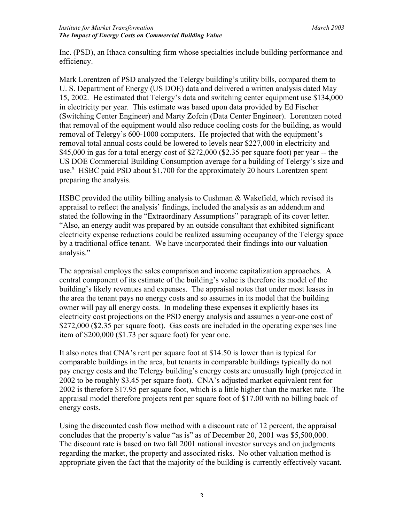Inc. (PSD), an Ithaca consulting firm whose specialties include building performance and efficiency.

Mark Lorentzen of PSD analyzed the Telergy building's utility bills, compared them to U. S. Department of Energy (US DOE) data and delivered a written analysis dated May 15, 2002. He estimated that Telergy's data and switching center equipment use \$134,000 in electricity per year. This estimate was based upon data provided by Ed Fischer (Switching Center Engineer) and Marty Zofcin (Data Center Engineer). Lorentzen noted that removal of the equipment would also reduce cooling costs for the building, as would removal of Telergy's 600-1000 computers. He projected that with the equipment's removal total annual costs could be lowered to levels near \$227,000 in electricity and \$45,000 in gas for a total energy cost of \$272,000 (\$2.35 per square foot) per year -- the US DOE Commercial Building Consumption average for a building of Telergy's size and use.<sup>x</sup> HSBC paid PSD about \$1,700 for the approximately 20 hours Lorentzen spent preparing the analysis.

HSBC provided the utility billing analysis to Cushman & Wakefield, which revised its appraisal to reflect the analysis' findings, included the analysis as an addendum and stated the following in the "Extraordinary Assumptions" paragraph of its cover letter. "Also, an energy audit was prepared by an outside consultant that exhibited significant electricity expense reductions could be realized assuming occupancy of the Telergy space by a traditional office tenant. We have incorporated their findings into our valuation analysis."

The appraisal employs the sales comparison and income capitalization approaches. A central component of its estimate of the building's value is therefore its model of the building's likely revenues and expenses. The appraisal notes that under most leases in the area the tenant pays no energy costs and so assumes in its model that the building owner will pay all energy costs. In modeling these expenses it explicitly bases its electricity cost projections on the PSD energy analysis and assumes a year-one cost of \$272,000 (\$2.35 per square foot). Gas costs are included in the operating expenses line item of \$200,000 (\$1.73 per square foot) for year one.

It also notes that CNA's rent per square foot at \$14.50 is lower than is typical for comparable buildings in the area, but tenants in comparable buildings typically do not pay energy costs and the Telergy building's energy costs are unusually high (projected in 2002 to be roughly \$3.45 per square foot). CNA's adjusted market equivalent rent for 2002 is therefore \$17.95 per square foot, which is a little higher than the market rate. The appraisal model therefore projects rent per square foot of \$17.00 with no billing back of energy costs.

Using the discounted cash flow method with a discount rate of 12 percent, the appraisal concludes that the property's value "as is" as of December 20, 2001 was \$5,500,000. The discount rate is based on two fall 2001 national investor surveys and on judgments regarding the market, the property and associated risks. No other valuation method is appropriate given the fact that the majority of the building is currently effectively vacant.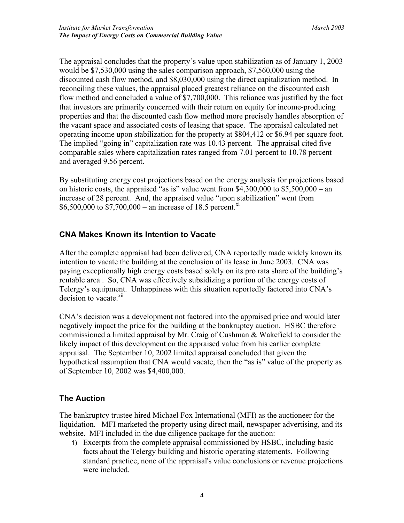The appraisal concludes that the property's value upon stabilization as of January 1, 2003 would be \$7,530,000 using the sales comparison approach, \$7,560,000 using the discounted cash flow method, and \$8,030,000 using the direct capitalization method. In reconciling these values, the appraisal placed greatest reliance on the discounted cash flow method and concluded a value of \$7,700,000. This reliance was justified by the fact that investors are primarily concerned with their return on equity for income-producing properties and that the discounted cash flow method more precisely handles absorption of the vacant space and associated costs of leasing that space. The appraisal calculated net operating income upon stabilization for the property at \$804,412 or \$6.94 per square foot. The implied "going in" capitalization rate was 10.43 percent. The appraisal cited five comparable sales where capitalization rates ranged from 7.01 percent to 10.78 percent and averaged 9.56 percent.

By substituting energy cost projections based on the energy analysis for projections based on historic costs, the appraised "as is" value went from  $$4,300,000$  to  $$5,500,000$  – an increase of 28 percent. And, the appraised value "upon stabilization" went from \$6,500,000 to  $$7,700,000 -$  an increase of 18.5 percent.<sup>xi</sup>

### **CNA Makes Known its Intention to Vacate**

After the complete appraisal had been delivered, CNA reportedly made widely known its intention to vacate the building at the conclusion of its lease in June 2003. CNA was paying exceptionally high energy costs based solely on its pro rata share of the building's rentable area . So, CNA was effectively subsidizing a portion of the energy costs of Telergy's equipment. Unhappiness with this situation reportedly factored into CNA's decision to vacate.<sup>xii</sup>

CNA's decision was a development not factored into the appraised price and would later negatively impact the price for the building at the bankruptcy auction. HSBC therefore commissioned a limited appraisal by Mr. Craig of Cushman & Wakefield to consider the likely impact of this development on the appraised value from his earlier complete appraisal. The September 10, 2002 limited appraisal concluded that given the hypothetical assumption that CNA would vacate, then the "as is" value of the property as of September 10, 2002 was \$4,400,000.

### **The Auction**

The bankruptcy trustee hired Michael Fox International (MFI) as the auctioneer for the liquidation. MFI marketed the property using direct mail, newspaper advertising, and its website. MFI included in the due diligence package for the auction:

1) Excerpts from the complete appraisal commissioned by HSBC, including basic facts about the Telergy building and historic operating statements. Following standard practice, none of the appraisal's value conclusions or revenue projections were included.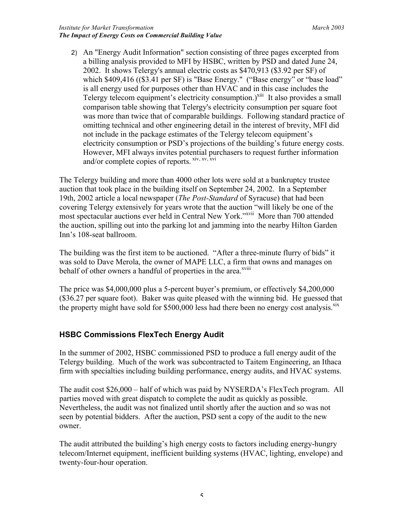#### *Institute for Market Transformation March 2003 The Impact of Energy Costs on Commercial Building Value*

2) An "Energy Audit Information" section consisting of three pages excerpted from a billing analysis provided to MFI by HSBC, written by PSD and dated June 24, 2002. It shows Telergy's annual electric costs as \$470,913 (\$3.92 per SF) of which \$409,416 ((\$3.41 per SF) is "Base Energy." ("Base energy" or "base load" is all energy used for purposes other than HVAC and in this case includes the Telergy telecom equipment's electricity consumption.)<sup>xiii</sup> It also provides a small comparison table showing that Telergy's electricity consumption per square foot was more than twice that of comparable buildings. Following standard practice of omitting technical and other engineering detail in the interest of brevity, MFI did not include in the package estimates of the Telergy telecom equipment's electricity consumption or PSD's projections of the building's future energy costs. However, MFI always invites potential purchasers to request further information and/or complete copies of reports. Xiv, XV, XVi

The Telergy building and more than 4000 other lots were sold at a bankruptcy trustee auction that took place in the building itself on September 24, 2002. In a September 19th, 2002 article a local newspaper (*The Post-Standard* of Syracuse) that had been covering Telergy extensively for years wrote that the auction "will likely be one of the most spectacular auctions ever held in Central New York."<sup>xvii</sup> More than 700 attended the auction, spilling out into the parking lot and jamming into the nearby Hilton Garden Inn's 108-seat ballroom.

The building was the first item to be auctioned. "After a three-minute flurry of bids" it was sold to Dave Merola, the owner of MAPE LLC, a firm that owns and manages on behalf of other owners a handful of properties in the area.<sup>xviii</sup>

The price was \$4,000,000 plus a 5-percent buyer's premium, or effectively \$4,200,000 (\$36.27 per square foot). Baker was quite pleased with the winning bid. He guessed that the property might have sold for \$500,000 less had there been no energy cost analysis.<sup>xix</sup>

# **HSBC Commissions FlexTech Energy Audit**

In the summer of 2002, HSBC commissioned PSD to produce a full energy audit of the Telergy building. Much of the work was subcontracted to Taitem Engineering, an Ithaca firm with specialties including building performance, energy audits, and HVAC systems.

The audit cost \$26,000 – half of which was paid by NYSERDA's FlexTech program. All parties moved with great dispatch to complete the audit as quickly as possible. Nevertheless, the audit was not finalized until shortly after the auction and so was not seen by potential bidders. After the auction, PSD sent a copy of the audit to the new owner.

The audit attributed the building's high energy costs to factors including energy-hungry telecom/Internet equipment, inefficient building systems (HVAC, lighting, envelope) and twenty-four-hour operation.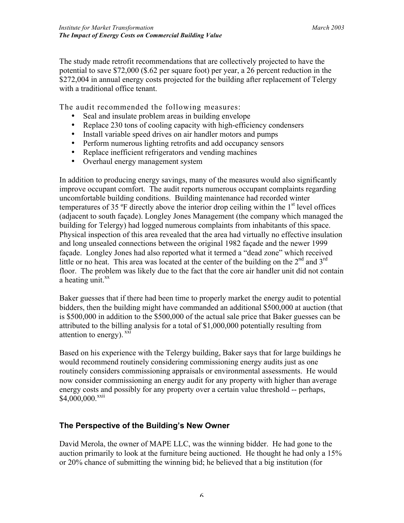The study made retrofit recommendations that are collectively projected to have the potential to save \$72,000 (\$.62 per square foot) per year, a 26 percent reduction in the \$272,004 in annual energy costs projected for the building after replacement of Telergy with a traditional office tenant.

The audit recommended the following measures:

- Seal and insulate problem areas in building envelope
- Replace 230 tons of cooling capacity with high-efficiency condensers
- Install variable speed drives on air handler motors and pumps
- Perform numerous lighting retrofits and add occupancy sensors
- Replace inefficient refrigerators and vending machines
- Overhaul energy management system

In addition to producing energy savings, many of the measures would also significantly improve occupant comfort. The audit reports numerous occupant complaints regarding uncomfortable building conditions. Building maintenance had recorded winter temperatures of 35  $\degree$ F directly above the interior drop ceiling within the 1<sup>st</sup> level offices (adjacent to south façade). Longley Jones Management (the company which managed the building for Telergy) had logged numerous complaints from inhabitants of this space. Physical inspection of this area revealed that the area had virtually no effective insulation and long unsealed connections between the original 1982 façade and the newer 1999 façade. Longley Jones had also reported what it termed a "dead zone" which received little or no heat. This area was located at the center of the building on the  $2<sup>nd</sup>$  and  $3<sup>rd</sup>$ floor. The problem was likely due to the fact that the core air handler unit did not contain a heating unit. $^{xx}$ 

Baker guesses that if there had been time to properly market the energy audit to potential bidders, then the building might have commanded an additional \$500,000 at auction (that is \$500,000 in addition to the \$500,000 of the actual sale price that Baker guesses can be attributed to the billing analysis for a total of \$1,000,000 potentially resulting from attention to energy).  $^{xxi}$ 

Based on his experience with the Telergy building, Baker says that for large buildings he would recommend routinely considering commissioning energy audits just as one routinely considers commissioning appraisals or environmental assessments. He would now consider commissioning an energy audit for any property with higher than average energy costs and possibly for any property over a certain value threshold -- perhaps, \$4,000,000.xxii

# **The Perspective of the Building's New Owner**

David Merola, the owner of MAPE LLC, was the winning bidder. He had gone to the auction primarily to look at the furniture being auctioned. He thought he had only a 15% or 20% chance of submitting the winning bid; he believed that a big institution (for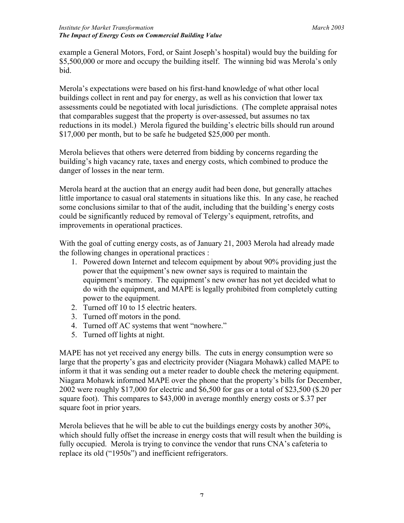example a General Motors, Ford, or Saint Joseph's hospital) would buy the building for \$5,500,000 or more and occupy the building itself. The winning bid was Merola's only bid.

Merola's expectations were based on his first-hand knowledge of what other local buildings collect in rent and pay for energy, as well as his conviction that lower tax assessments could be negotiated with local jurisdictions. (The complete appraisal notes that comparables suggest that the property is over-assessed, but assumes no tax reductions in its model.) Merola figured the building's electric bills should run around \$17,000 per month, but to be safe he budgeted \$25,000 per month.

Merola believes that others were deterred from bidding by concerns regarding the building's high vacancy rate, taxes and energy costs, which combined to produce the danger of losses in the near term.

Merola heard at the auction that an energy audit had been done, but generally attaches little importance to casual oral statements in situations like this. In any case, he reached some conclusions similar to that of the audit, including that the building's energy costs could be significantly reduced by removal of Telergy's equipment, retrofits, and improvements in operational practices.

With the goal of cutting energy costs, as of January 21, 2003 Merola had already made the following changes in operational practices :

- 1. Powered down Internet and telecom equipment by about 90% providing just the power that the equipment's new owner says is required to maintain the equipment's memory. The equipment's new owner has not yet decided what to do with the equipment, and MAPE is legally prohibited from completely cutting power to the equipment.
- 2. Turned off 10 to 15 electric heaters.
- 3. Turned off motors in the pond.
- 4. Turned off AC systems that went "nowhere."
- 5. Turned off lights at night.

MAPE has not yet received any energy bills. The cuts in energy consumption were so large that the property's gas and electricity provider (Niagara Mohawk) called MAPE to inform it that it was sending out a meter reader to double check the metering equipment. Niagara Mohawk informed MAPE over the phone that the property's bills for December, 2002 were roughly \$17,000 for electric and \$6,500 for gas or a total of \$23,500 (\$.20 per square foot). This compares to \$43,000 in average monthly energy costs or \$.37 per square foot in prior years.

Merola believes that he will be able to cut the buildings energy costs by another 30%, which should fully offset the increase in energy costs that will result when the building is fully occupied. Merola is trying to convince the vendor that runs CNA's cafeteria to replace its old ("1950s") and inefficient refrigerators.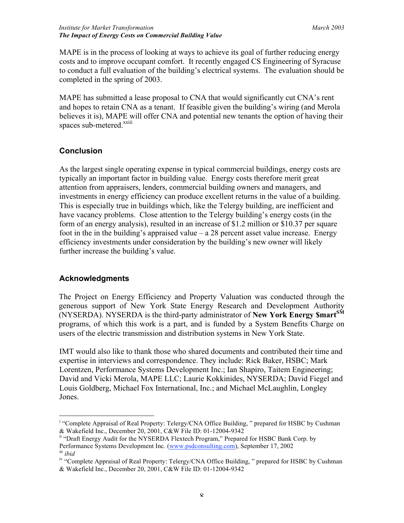MAPE is in the process of looking at ways to achieve its goal of further reducing energy costs and to improve occupant comfort. It recently engaged CS Engineering of Syracuse to conduct a full evaluation of the building's electrical systems. The evaluation should be completed in the spring of 2003.

MAPE has submitted a lease proposal to CNA that would significantly cut CNA's rent and hopes to retain CNA as a tenant. If feasible given the building's wiring (and Merola believes it is), MAPE will offer CNA and potential new tenants the option of having their spaces sub-metered.<sup>xxiii</sup>

## **Conclusion**

As the largest single operating expense in typical commercial buildings, energy costs are typically an important factor in building value. Energy costs therefore merit great attention from appraisers, lenders, commercial building owners and managers, and investments in energy efficiency can produce excellent returns in the value of a building. This is especially true in buildings which, like the Telergy building, are inefficient and have vacancy problems. Close attention to the Telergy building's energy costs (in the form of an energy analysis), resulted in an increase of \$1.2 million or \$10.37 per square foot in the in the building's appraised value – a 28 percent asset value increase. Energy efficiency investments under consideration by the building's new owner will likely further increase the building's value.

### **Acknowledgments**

The Project on Energy Efficiency and Property Valuation was conducted through the generous support of New York State Energy Research and Development Authority (NYSERDA). NYSERDA is the third-party administrator of **New York Energy \$martSM** programs, of which this work is a part, and is funded by a System Benefits Charge on users of the electric transmission and distribution systems in New York State.

IMT would also like to thank those who shared documents and contributed their time and expertise in interviews and correspondence. They include: Rick Baker, HSBC; Mark Lorentzen, Performance Systems Development Inc.; Ian Shapiro, Taitem Engineering; David and Vicki Merola, MAPE LLC; Laurie Kokkinides, NYSERDA; David Fiegel and Louis Goldberg, Michael Fox International, Inc.; and Michael McLaughlin, Longley Jones.

<sup>|&</sup>lt;br>i <sup>i</sup> "Complete Appraisal of Real Property: Telergy/CNA Office Building, " prepared for HSBC by Cushman & Wakefield Inc., December 20, 2001, C&W File ID: 01-12004-9342

<sup>&</sup>lt;sup>ii</sup> "Draft Energy Audit for the NYSERDA Flextech Program," Prepared for HSBC Bank Corp. by Performance Systems Development Inc. (www.psdconsulting.com), September 17, 2002 iii *ibid* 

<sup>&</sup>lt;sup>iv</sup> "Complete Appraisal of Real Property: Telergy/CNA Office Building, " prepared for HSBC by Cushman & Wakefield Inc., December 20, 2001, C&W File ID: 01-12004-9342